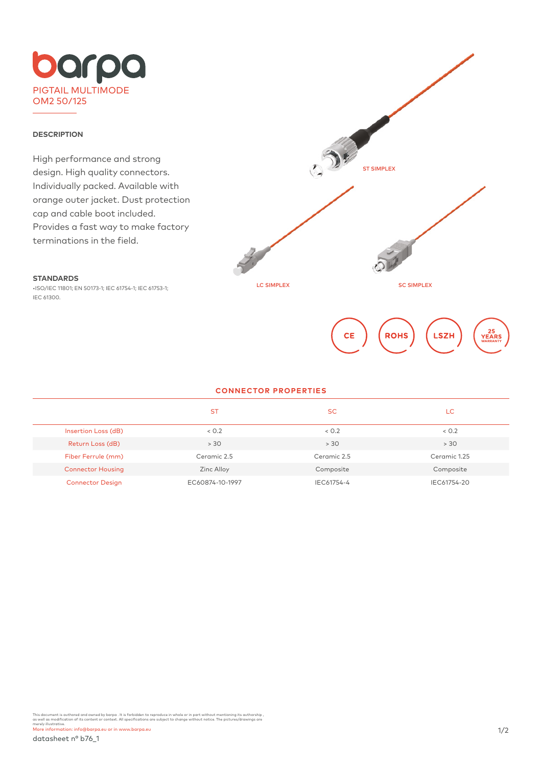### **DESCRIPTION**

**STANDARDS**

IEC 61300.

High performance and strong design. High quality connectors. Individually packed. Available with orange outer jacket. Dust protection cap and cable boot included. Provides a fast way to make factory terminations in the field.

•ISO/IEC 11801; EN 50173-1; IEC 61754-1; IEC 61753-1;



# **CONNECTOR PROPERTIES**

|                          | <b>ST</b>       | <b>SC</b>   | LC           |
|--------------------------|-----------------|-------------|--------------|
| Insertion Loss (dB)      | < 0.2           | < 0.2       | < 0.2        |
| Return Loss (dB)         | > 30            | > 30        | > 30         |
| Fiber Ferrule (mm)       | Ceramic 2.5     | Ceramic 2.5 | Ceramic 1.25 |
| <b>Connector Housing</b> | Zinc Alloy      | Composite   | Composite    |
| <b>Connector Design</b>  | EC60874-10-1997 | IEC61754-4  | IEC61754-20  |

This document is authored and owned by barpa . It is forbidden to reproduce in whole or in part without mentioning its authorship ,<br>as well as modification of its content or context. All specifications are subject to chang